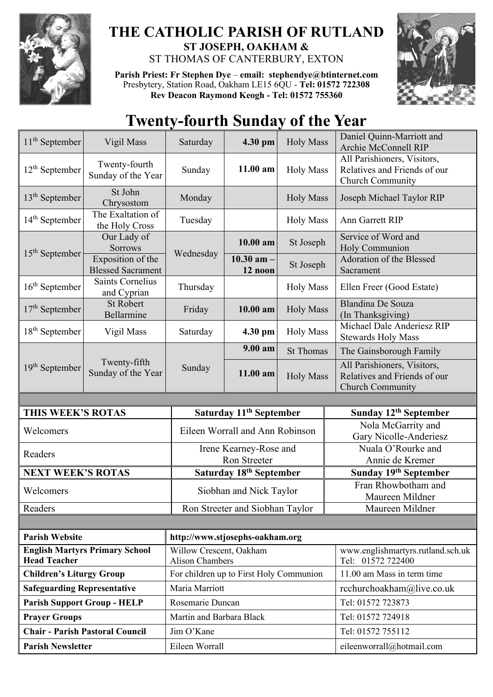

## **THE CATHOLIC PARISH OF RUTLAND ST JOSEPH, OAKHAM &**  ST THOMAS OF CANTERBURY, EXTON

**Parish Priest: Fr Stephen Dye** – **[email: stephendye@btinternet.com](mailto:email:%20%20stephendye@btinternet.com)** Presbytery, Station Road, Oakham LE15 6QU - **Tel: 01572 722308 Rev Deacon Raymond Keogh - Tel: 01572 755360**



## **Twenty-fourth Sunday of the Year**

| $11th$ September                   | Vigil Mass                                    | Saturday                                          | 4.30 pm                             | <b>Holy Mass</b> | Daniel Quinn-Marriott and<br>Archie McConnell RIP                                      |
|------------------------------------|-----------------------------------------------|---------------------------------------------------|-------------------------------------|------------------|----------------------------------------------------------------------------------------|
| $12th$ September                   | Twenty-fourth<br>Sunday of the Year           | Sunday                                            | 11.00 am                            | <b>Holy Mass</b> | All Parishioners, Visitors,<br>Relatives and Friends of our<br>Church Community        |
| $13th$ September                   | St John<br>Chrysostom                         | Monday                                            |                                     | <b>Holy Mass</b> | Joseph Michael Taylor RIP                                                              |
| $14th$ September                   | The Exaltation of<br>the Holy Cross           | Tuesday                                           |                                     | <b>Holy Mass</b> | Ann Garrett RIP                                                                        |
| $15th$ September                   | Our Lady of<br><b>Sorrows</b>                 | Wednesday                                         | 10.00 am                            | St Joseph        | Service of Word and<br>Holy Communion                                                  |
|                                    | Exposition of the<br><b>Blessed Sacrament</b> |                                                   | 10.30 am $-$<br>12 noon             | St Joseph        | Adoration of the Blessed<br>Sacrament                                                  |
| $16th$ September                   | Saints Cornelius<br>and Cyprian               | Thursday                                          |                                     | <b>Holy Mass</b> | Ellen Freer (Good Estate)                                                              |
| $17th$ September                   | <b>St Robert</b><br>Bellarmine                | Friday                                            | 10.00 am                            | <b>Holy Mass</b> | Blandina De Souza<br>(In Thanksgiving)                                                 |
| $18th$ September                   | Vigil Mass                                    | Saturday                                          | 4.30 pm                             | <b>Holy Mass</b> | Michael Dale Anderiesz RIP<br><b>Stewards Holy Mass</b>                                |
| $19th$ September                   | Twenty-fifth<br>Sunday of the Year            | Sunday                                            | $9.00 a$ m                          | <b>St Thomas</b> | The Gainsborough Family                                                                |
|                                    |                                               |                                                   | 11.00 am                            | <b>Holy Mass</b> | All Parishioners, Visitors,<br>Relatives and Friends of our<br><b>Church Community</b> |
|                                    |                                               |                                                   |                                     |                  |                                                                                        |
|                                    |                                               |                                                   |                                     |                  |                                                                                        |
| THIS WEEK'S ROTAS                  |                                               |                                                   | Saturday 11 <sup>th</sup> September |                  | Sunday 12th September                                                                  |
| Welcomers                          |                                               |                                                   | Eileen Worrall and Ann Robinson     |                  | Nola McGarrity and<br>Gary Nicolle-Anderiesz                                           |
| Readers                            |                                               |                                                   | Irene Kearney-Rose and              |                  | Nuala O'Rourke and                                                                     |
|                                    |                                               |                                                   | Ron Streeter                        |                  | Annie de Kremer                                                                        |
| <b>NEXT WEEK'S ROTAS</b>           |                                               |                                                   | Saturday 18th September             |                  | Sunday 19 <sup>th</sup> September                                                      |
| Welcomers                          |                                               |                                                   | Siobhan and Nick Taylor             |                  | Fran Rhowbotham and<br>Maureen Mildner                                                 |
| Readers                            |                                               |                                                   | Ron Streeter and Siobhan Taylor     |                  | Maureen Mildner                                                                        |
|                                    |                                               |                                                   |                                     |                  |                                                                                        |
| <b>Parish Website</b>              |                                               | http://www.stjosephs-oakham.org                   |                                     |                  |                                                                                        |
| <b>Head Teacher</b>                | <b>English Martyrs Primary School</b>         | Willow Crescent, Oakham<br><b>Alison Chambers</b> |                                     |                  | www.englishmartyrs.rutland.sch.uk<br>Tel: 01572 722400                                 |
| <b>Children's Liturgy Group</b>    |                                               | For children up to First Holy Communion           |                                     |                  | 11.00 am Mass in term time                                                             |
| <b>Safeguarding Representative</b> |                                               | Maria Marriott                                    |                                     |                  | rcchurchoakham@live.co.uk                                                              |
|                                    | <b>Parish Support Group - HELP</b>            | Rosemarie Duncan                                  |                                     |                  | Tel: 01572 723873                                                                      |
| <b>Prayer Groups</b>               |                                               | Martin and Barbara Black                          |                                     |                  | Tel: 01572 724918                                                                      |
|                                    | <b>Chair - Parish Pastoral Council</b>        | Jim O'Kane                                        |                                     |                  | Tel: 01572 755112                                                                      |